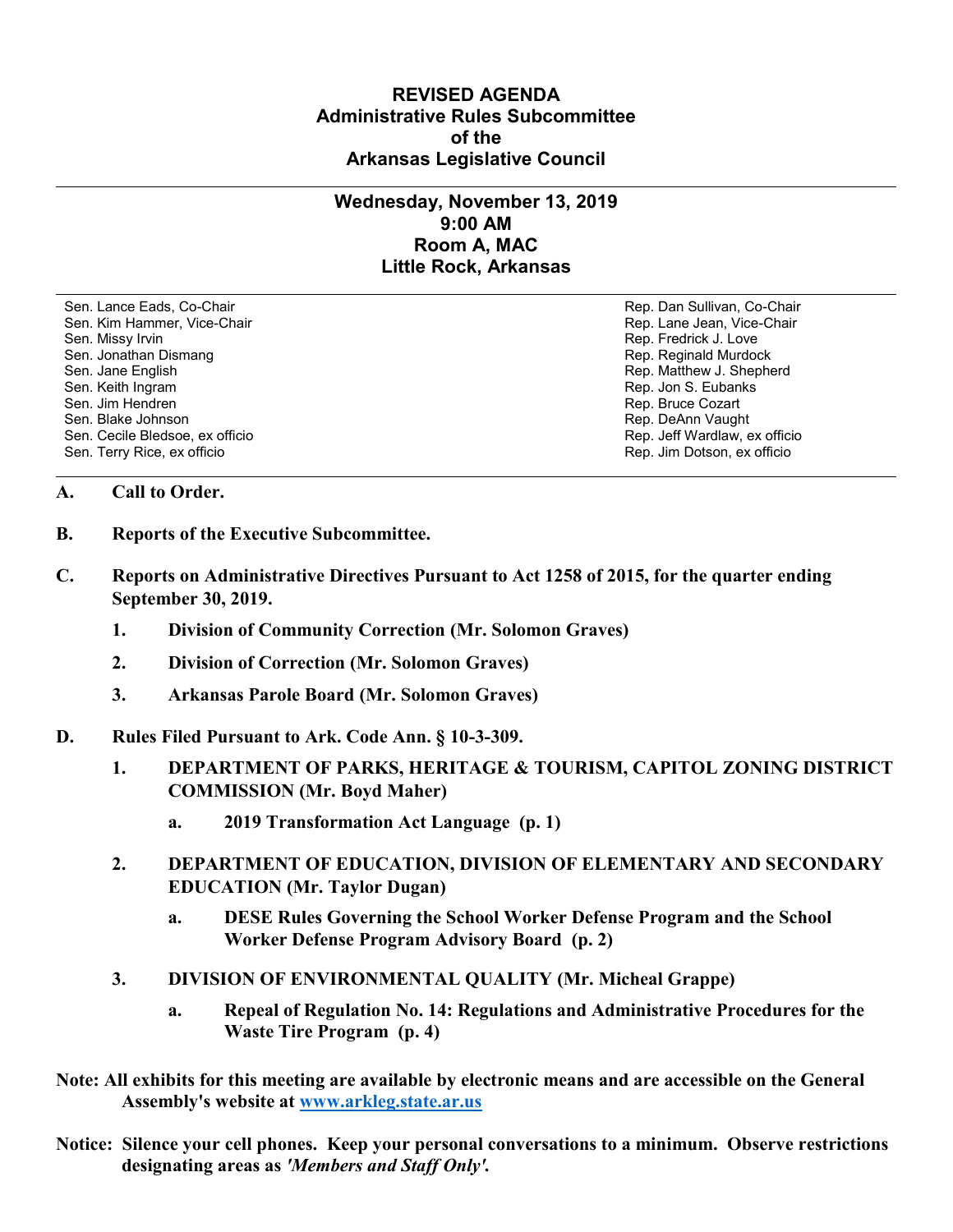## **REVISED AGENDA Administrative Rules Subcommittee of the Arkansas Legislative Council**

## **Wednesday, November 13, 2019 9:00 AM Room A, MAC Little Rock, Arkansas**

Sen. Lance Eads, Co-Chair Rep. Dan Sullivan, Co-Chair Sen. Kim Hammer, Vice-Chair **Rep. Lane Jean, Vice-Chair** Rep. Lane Jean, Vice-Chair Sen. Missy Irvin November 2012 19:00 19:00 19:00 19:00 19:00 19:00 19:00 19:00 19:00 19:00 19:00 19:00 19:00 1 Sen. Jonathan Dismang Rep. Reginald Murdock Sen. Jane English Rep. Matthew J. Shepherd Rep. Matthew J. Shepherd Sen. Keith Ingram Rep. Jon S. Eubanks (Sen. Keith Ingram Rep. Jon S. Eubanks (Sen. Jon S. Eubanks (Sen. Jon S. Eubanks (Sen. Jon S. Eubanks (Sen. Jon S. Eubanks (Sen. Jon S. Eubanks (Sen. Jon S. Eubanks (Sen. Jon S. Eubank Sen. Blake Johnson (Sen. 1999)<br>Sen. Cecile Bledsoe, ex officio (Sen. 1999)<br>Sen. Cecile Bledsoe, ex officio (Sen. 1999) Sen. Cecile Bledsoe, ex officio Sen. Terry Rice, ex officio Rep. Jim Dotson, ex officio

Rep. Bruce Cozart

## **A. Call to Order.**

- **B. Reports of the Executive Subcommittee.**
- **C. Reports on Administrative Directives Pursuant to Act 1258 of 2015, for the quarter ending September 30, 2019.**
	- **1. Division of Community Correction (Mr. Solomon Graves)**
	- **2. Division of Correction (Mr. Solomon Graves)**
	- **3. Arkansas Parole Board (Mr. Solomon Graves)**
- **D. Rules Filed Pursuant to Ark. Code Ann. § 10-3-309.**
	- **1. DEPARTMENT OF PARKS, HERITAGE & TOURISM, CAPITOL ZONING DISTRICT COMMISSION (Mr. Boyd Maher)**
		- **a. 2019 Transformation Act Language (p. 1)**
	- **2. DEPARTMENT OF EDUCATION, DIVISION OF ELEMENTARY AND SECONDARY EDUCATION (Mr. Taylor Dugan)**
		- **a. DESE Rules Governing the School Worker Defense Program and the School Worker Defense Program Advisory Board (p. 2)**
	- **3. DIVISION OF ENVIRONMENTAL QUALITY (Mr. Micheal Grappe)**
		- **a. Repeal of Regulation No. 14: Regulations and Administrative Procedures for the Waste Tire Program (p. 4)**
- **Note: All exhibits for this meeting are available by electronic means and are accessible on the General Assembly's website at [www.arkleg.state.ar.us](http://www.arkleg.state.ar.us)**
- **Notice: Silence your cell phones. Keep your personal conversations to a minimum. Observe restrictions designating areas as** *'Members and Staff Only'.*